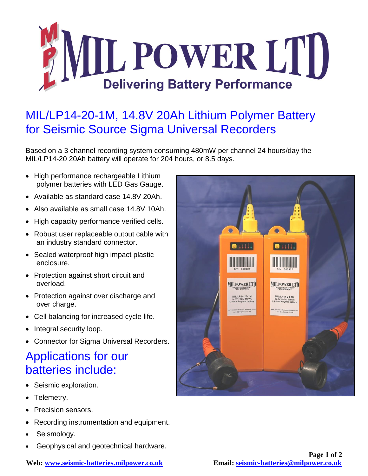

## MIL/LP14-20-1M, 14.8V 20Ah Lithium Polymer Battery for Seismic Source Sigma Universal Recorders

Based on a 3 channel recording system consuming 480mW per channel 24 hours/day the MIL/LP14-20 20Ah battery will operate for 204 hours, or 8.5 days.

- High performance rechargeable Lithium polymer batteries with LED Gas Gauge.
- Available as standard case 14.8V 20Ah.
- Also available as small case 14.8V 10Ah.
- High capacity performance verified cells.
- Robust user replaceable output cable with an industry standard connector.
- Sealed waterproof high impact plastic enclosure.
- Protection against short circuit and overload.
- Protection against over discharge and over charge.
- Cell balancing for increased cycle life.
- Integral security loop.
- Connector for Sigma Universal Recorders.

## Applications for our batteries include:

- Seismic exploration.
- Telemetry.
- Precision sensors.
- Recording instrumentation and equipment.
- Seismology.
- Geophysical and geotechnical hardware.